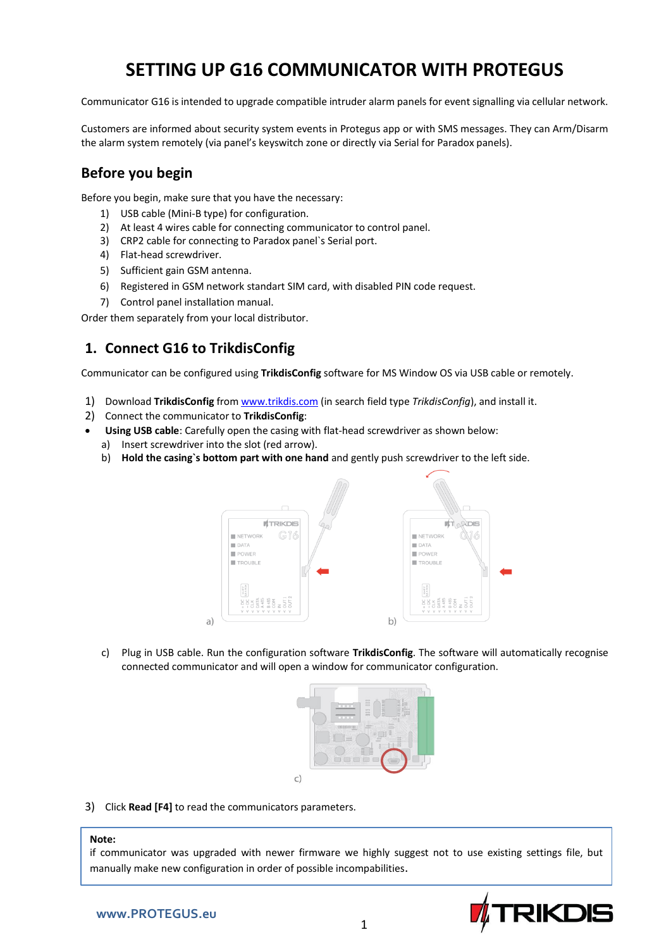# **SETTING UP G16 COMMUNICATOR WITH PROTEGUS**

Communicator G16 is intended to upgrade compatible intruder alarm panels for event signalling via cellular network.

Customers are informed about security system events in Protegus app or with SMS messages. They can Arm/Disarm the alarm system remotely (via panel's keyswitch zone or directly via Serial for Paradox panels).

# **Before you begin**

Before you begin, make sure that you have the necessary:

- 1) USB cable (Mini-B type) for configuration.
- 2) At least 4 wires cable for connecting communicator to control panel.
- 3) CRP2 cable for connecting to Paradox panel`s Serial port.
- 4) Flat-head screwdriver.
- 5) Sufficient gain GSM antenna.
- 6) Registered in GSM network standart SIM card, with disabled PIN code request.
- 7) Control panel installation manual.

Order them separately from your local distributor.

# **1. Connect G16 to TrikdisConfig**

Communicator can be configured using **TrikdisConfig** software for MS Window OS via USB cable or remotely.

- 1) Download **TrikdisConfig** from [www.trikdis.com](http://www.trikdis.com/) (in search field type *TrikdisConfig*), and install it.
- 2) Connect the communicator to **TrikdisConfig**:
- **Using USB cable**: Carefully open the casing with flat-head screwdriver as shown below:
	- a) Insert screwdriver into the slot (red arrow).
	- b) **Hold the casing`s bottom part with one hand** and gently push screwdriver to the left side.



c) Plug in USB cable. Run the configuration software **TrikdisConfig**. The software will automatically recognise connected communicator and will open a window for communicator configuration.



3) Click **Read [F4]** to read the communicators parameters.

### **Note:**

if communicator was upgraded with newer firmware we highly suggest not to use existing settings file, but manually make new configuration in order of possible incompabilities.

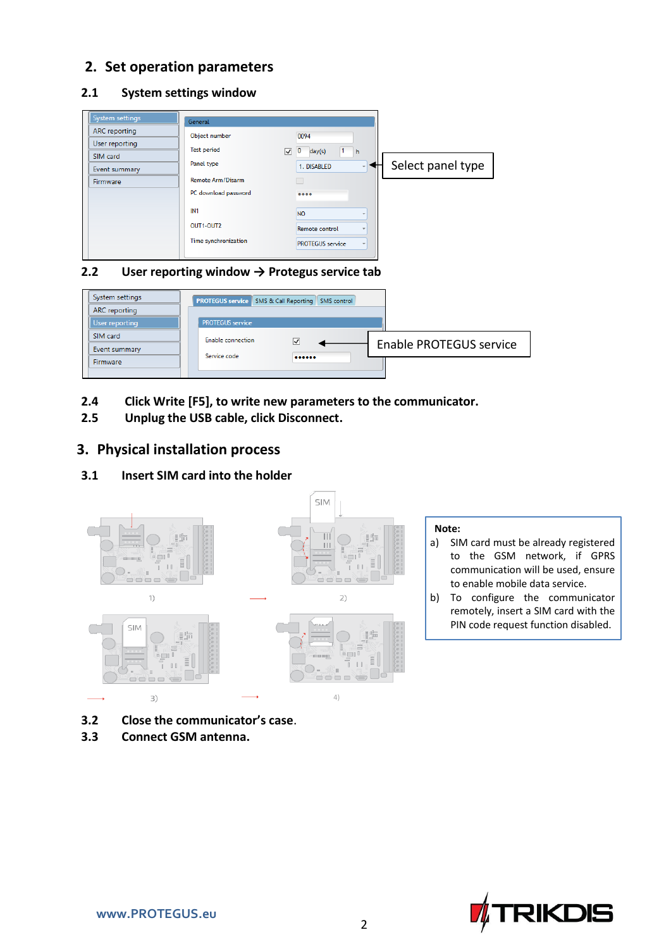# **2. Set operation parameters**

## **2.1 System settings window**

| System settings<br><b>ARC</b> reporting<br>User reporting<br>SIM card<br>Event summary<br>Firmware | General<br>Object number<br><b>Test period</b><br>$\overline{\mathsf{v}}$<br>Panel type<br><b>Remote Arm/Disarm</b><br>PC download password<br>IN <sub>1</sub> | 0094<br>$\overline{0}$<br>1<br>day(s)<br>  h<br>1. DISABLED<br>0.000<br><b>NO</b> | Select panel type |
|----------------------------------------------------------------------------------------------------|----------------------------------------------------------------------------------------------------------------------------------------------------------------|-----------------------------------------------------------------------------------|-------------------|
|                                                                                                    | OUT1-OUT2<br>Time synchronization                                                                                                                              | Remote control<br><b>PROTEGUS</b> service                                         |                   |

## **2.2 User reporting window → Protegus service tab**

| System settings | <b>PROTEGUS service</b> SMS & Call Reporting SMS control |                      |  |                         |
|-----------------|----------------------------------------------------------|----------------------|--|-------------------------|
| ARC reporting   |                                                          |                      |  |                         |
| User reporting  | <b>PROTEGUS</b> service                                  |                      |  |                         |
| SIM card        | Enable connection                                        | $\blacktriangledown$ |  | Enable PROTEGUS service |
| Event summary   | Service code                                             |                      |  |                         |
| Firmware        |                                                          |                      |  |                         |
|                 |                                                          |                      |  |                         |

- **2.4 Click Write [F5], to write new parameters to the communicator.**
- **2.5 Unplug the USB cable, click Disconnect.**

# **3. Physical installation process**

## **3.1 Insert SIM card into the holder**



- **3.2 Close the communicator's case**.
- **3.3 Connect GSM antenna.**
- a) SIM card must be already registered to the GSM network, if GPRS communication will be used, ensure to enable mobile data service.
- b) To configure the communicator remotely, insert a SIM card with the PIN code request function disabled.

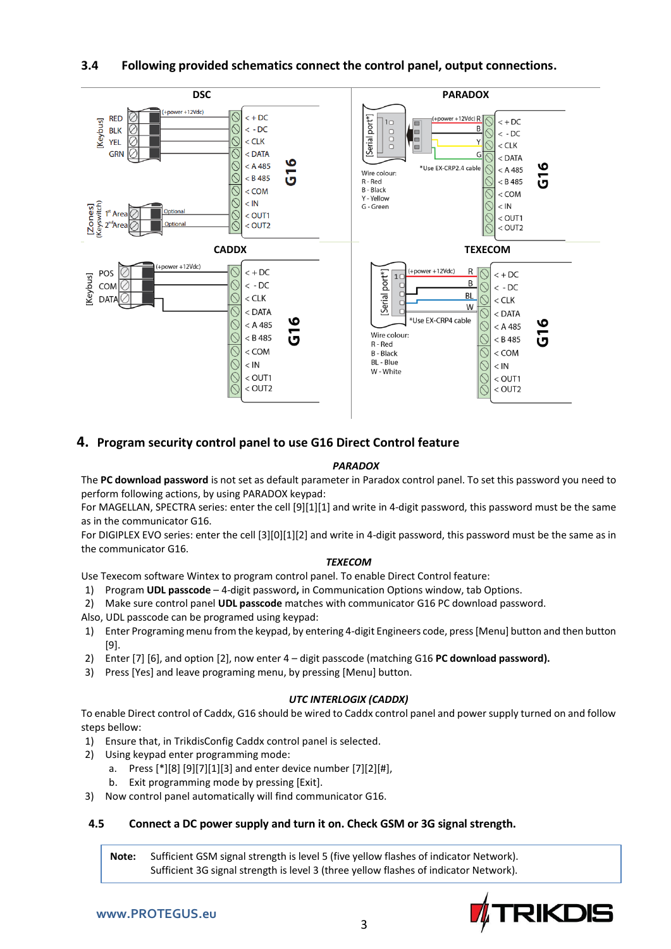

### **3.4 Following provided schematics connect the control panel, output connections.**

## **4. Program security control panel to use G16 Direct Control feature**

#### *PARADOX*

The **PC download password** is not set as default parameter in Paradox control panel. To set this password you need to perform following actions, by using PARADOX keypad:

For MAGELLAN, SPECTRA series: enter the cell [9][1][1] and write in 4-digit password, this password must be the same as in the communicator G16.

For DIGIPLEX EVO series: enter the cell [3][0][1][2] and write in 4-digit password, this password must be the same as in the communicator G16.

#### *TEXECOM*

Use Texecom software Wintex to program control panel. To enable Direct Control feature:

- 1) Program **UDL passcode**  4-digit password**,** in Communication Options window, tab Options.
- 2) Make sure control panel **UDL passcode** matches with communicator G16 PC download password.

Also, UDL passcode can be programed using keypad:

- 1) Enter Programing menu from the keypad, by entering 4-digit Engineers code, press [Menu] button and then button [9].
- 2) Enter [7] [6], and option [2], now enter 4 digit passcode (matching G16 **PC download password).**
- 3) Press [Yes] and leave programing menu, by pressing [Menu] button.

#### *UTC INTERLOGIX (CADDX)*

To enable Direct control of Caddx, G16 should be wired to Caddx control panel and power supply turned on and follow steps bellow:

- 1) Ensure that, in TrikdisConfig Caddx control panel is selected.
- 2) Using keypad enter programming mode:
	- a. Press  $[*][8][9][7][1][3]$  and enter device number  $[7][2][#]$ ,
	- b. Exit programming mode by pressing [Exit].
- 3) Now control panel automatically will find communicator G16.

#### **4.5 Connect a DC power supply and turn it on. Check GSM or 3G signal strength.**

**Note:** Sufficient GSM signal strength is level 5 (five yellow flashes of indicator Network). Sufficient 3G signal strength is level 3 (three yellow flashes of indicator Network).